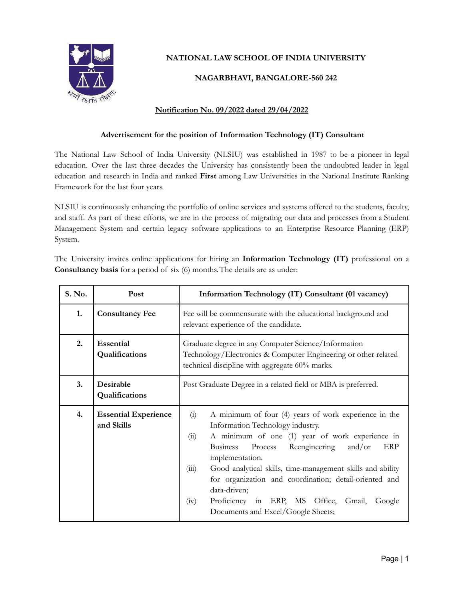

# **NATIONAL LAW SCHOOL OF INDIA UNIVERSITY**

### **NAGARBHAVI, BANGALORE-560 242**

#### **Notification No. 09/2022 dated 29/04/2022**

#### **Advertisement for the position of Information Technology (IT) Consultant**

The National Law School of India University (NLSIU) was established in 1987 to be a pioneer in legal education. Over the last three decades the University has consistently been the undoubted leader in legal education and research in India and ranked **First** among Law Universities in the National Institute Ranking Framework for the last four years.

NLSIU is continuously enhancing the portfolio of online services and systems offered to the students, faculty, and staff. As part of these efforts, we are in the process of migrating our data and processes from a Student Management System and certain legacy software applications to an Enterprise Resource Planning (ERP) System.

The University invites online applications for hiring an **Information Technology (IT)** professional on a **Consultancy basis** for a period of six (6) months.The details are as under:

| S. No. | Post                                      | Information Technology (IT) Consultant (01 vacancy)                                                                                                                                                                                                                                                                                                                                                                                                                                                 |
|--------|-------------------------------------------|-----------------------------------------------------------------------------------------------------------------------------------------------------------------------------------------------------------------------------------------------------------------------------------------------------------------------------------------------------------------------------------------------------------------------------------------------------------------------------------------------------|
| 1.     | <b>Consultancy Fee</b>                    | Fee will be commensurate with the educational background and<br>relevant experience of the candidate.                                                                                                                                                                                                                                                                                                                                                                                               |
| 2.     | Essential<br>Qualifications               | Graduate degree in any Computer Science/Information<br>Technology/Electronics & Computer Engineering or other related<br>technical discipline with aggregate 60% marks.                                                                                                                                                                                                                                                                                                                             |
| 3.     | Desirable<br>Qualifications               | Post Graduate Degree in a related field or MBA is preferred.                                                                                                                                                                                                                                                                                                                                                                                                                                        |
| 4.     | <b>Essential Experience</b><br>and Skills | A minimum of four (4) years of work experience in the<br>(i)<br>Information Technology industry.<br>A minimum of one (1) year of work experience in<br>(ii)<br><b>Business</b><br>Reengineering<br>Process<br>and/or<br>ERP<br>implementation.<br>Good analytical skills, time-management skills and ability<br>(iii)<br>for organization and coordination; detail-oriented and<br>data-driven;<br>Proficiency in ERP, MS Office,<br>Gmail,<br>(iv)<br>Google<br>Documents and Excel/Google Sheets; |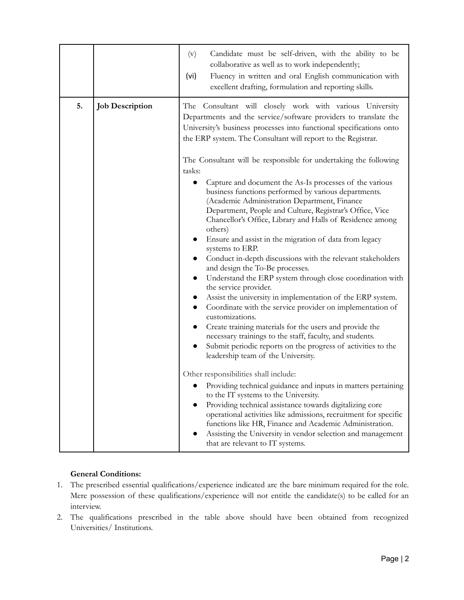|    |                        | Candidate must be self-driven, with the ability to be<br>(v)<br>collaborative as well as to work independently;<br>Fluency in written and oral English communication with<br>(vi)<br>excellent drafting, formulation and reporting skills.                                                                                                                                                                                                                                                                                                                                                                                                                                                                                                                                                                                                                                                                                                                                                                                                                  |
|----|------------------------|-------------------------------------------------------------------------------------------------------------------------------------------------------------------------------------------------------------------------------------------------------------------------------------------------------------------------------------------------------------------------------------------------------------------------------------------------------------------------------------------------------------------------------------------------------------------------------------------------------------------------------------------------------------------------------------------------------------------------------------------------------------------------------------------------------------------------------------------------------------------------------------------------------------------------------------------------------------------------------------------------------------------------------------------------------------|
| 5. | <b>Job Description</b> | The Consultant will closely work with various University<br>Departments and the service/software providers to translate the<br>University's business processes into functional specifications onto<br>the ERP system. The Consultant will report to the Registrar.                                                                                                                                                                                                                                                                                                                                                                                                                                                                                                                                                                                                                                                                                                                                                                                          |
|    |                        | The Consultant will be responsible for undertaking the following<br>tasks:<br>Capture and document the As-Is processes of the various<br>business functions performed by various departments.<br>(Academic Administration Department, Finance<br>Department, People and Culture, Registrar's Office, Vice<br>Chancellor's Office, Library and Halls of Residence among<br>others)<br>Ensure and assist in the migration of data from legacy<br>systems to ERP.<br>Conduct in-depth discussions with the relevant stakeholders<br>$\bullet$<br>and design the To-Be processes.<br>Understand the ERP system through close coordination with<br>the service provider.<br>Assist the university in implementation of the ERP system.<br>Coordinate with the service provider on implementation of<br>customizations.<br>Create training materials for the users and provide the<br>$\bullet$<br>necessary trainings to the staff, faculty, and students.<br>Submit periodic reports on the progress of activities to the<br>leadership team of the University. |
|    |                        | Other responsibilities shall include:<br>Providing technical guidance and inputs in matters pertaining<br>to the IT systems to the University.<br>Providing technical assistance towards digitalizing core<br>operational activities like admissions, recruitment for specific<br>functions like HR, Finance and Academic Administration.<br>Assisting the University in vendor selection and management<br>that are relevant to IT systems.                                                                                                                                                                                                                                                                                                                                                                                                                                                                                                                                                                                                                |

## **General Conditions:**

- 1. The prescribed essential qualifications/experience indicated are the bare minimum required for the role. Mere possession of these qualifications/experience will not entitle the candidate(s) to be called for an interview.
- 2. The qualifications prescribed in the table above should have been obtained from recognized Universities/ Institutions.